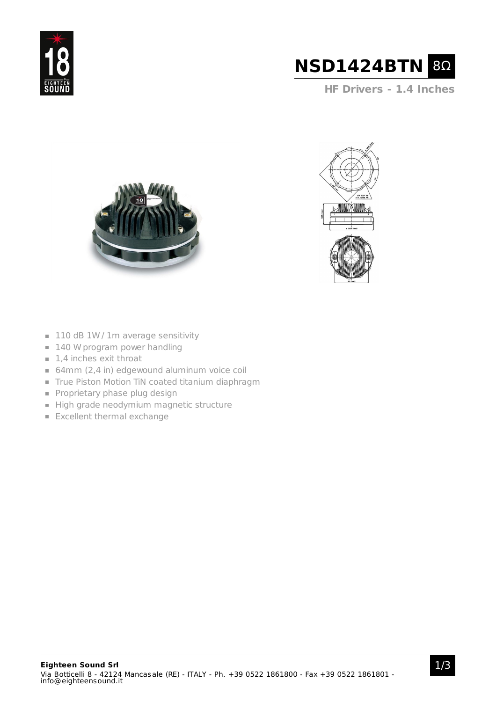



**HF Drivers - 1.4 Inches**





- $\blacksquare$  110 dB 1W / 1m average sensitivity
- **140 W program power handling**
- $\blacksquare$  1,4 inches exit throat
- 64mm (2,4 in) edgewound aluminum voice coil
- True Piston Motion TiN coated titanium diaphragm
- Proprietary phase plug design
- High grade neodymium magnetic structure
- **Excellent thermal exchange**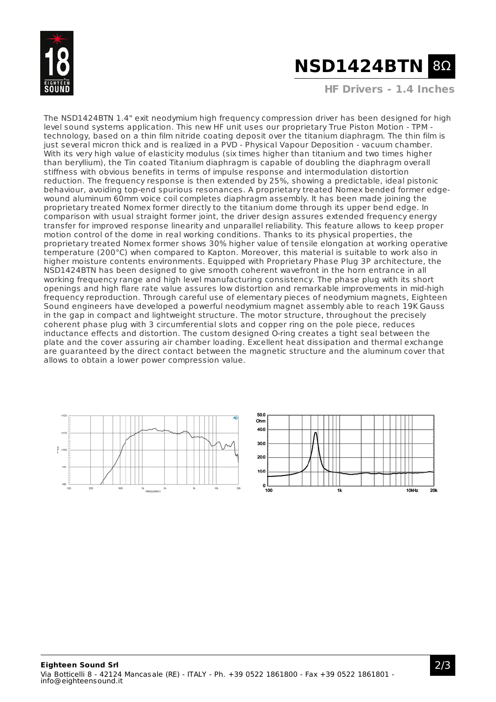

## **NSD1424BTN** 8Ω

**HF Drivers - 1.4 Inches**

The NSD1424BTN 1.4" exit neodymium high frequency compression driver has been designed for high level sound systems application. This new HF unit uses our proprietary True Piston Motion - TPM technology, based on a thin film nitride coating deposit over the titanium diaphragm. The thin film is just several micron thick and is realized in a PVD - Physical Vapour Deposition - vacuum chamber. With its very high value of elasticity modulus (six times higher than titanium and two times higher than beryllium), the Tin coated Titanium diaphragm is capable of doubling the diaphragm overall stiffness with obvious benefits in terms of impulse response and intermodulation distortion reduction. The frequency response is then extended by 25%, showing a predictable, ideal pistonic behaviour, avoiding top-end spurious resonances. A proprietary treated Nomex bended former edgewound aluminum 60mm voice coil completes diaphragm assembly. It has been made joining the proprietary treated Nomex former directly to the titanium dome through its upper bend edge. In comparison with usual straight former joint, the driver design assures extended frequency energy transfer for improved response linearity and unparallel reliability. This feature allows to keep proper motion control of the dome in real working conditions. Thanks to its physical properties, the proprietary treated Nomex former shows 30% higher value of tensile elongation at working operative temperature (200°C) when compared to Kapton. Moreover, this material is suitable to work also in higher moisture contents environments. Equipped with Proprietary Phase Plug 3P architecture, the NSD1424BTN has been designed to give smooth coherent wavefront in the horn entrance in all working frequency range and high level manufacturing consistency. The phase plug with its short openings and high flare rate value assures low distortion and remarkable improvements in mid-high frequency reproduction. Through careful use of elementary pieces of neodymium magnets, Eighteen Sound engineers have developed a powerful neodymium magnet assembly able to reach 19K Gauss in the gap in compact and lightweight structure. The motor structure, throughout the precisely coherent phase plug with 3 circumferential slots and copper ring on the pole piece, reduces inductance effects and distortion. The custom designed O-ring creates a tight seal between the plate and the cover assuring air chamber loading. Excellent heat dissipation and thermal exchange are guaranteed by the direct contact between the magnetic structure and the aluminum cover that allows to obtain a lower power compression value.